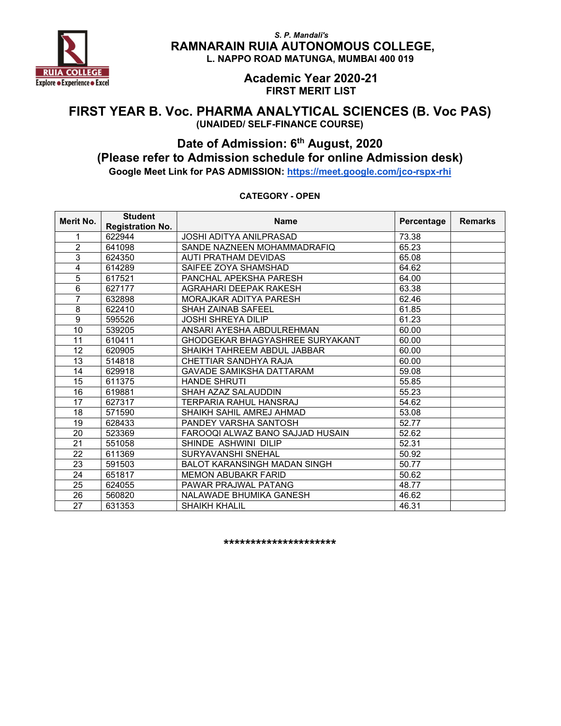

> Academic Year 2020-21 FIRST MERIT LIST

### FIRST YEAR B. Voc. PHARMA ANALYTICAL SCIENCES (B. Voc PAS) (UNAIDED/ SELF-FINANCE COURSE)

## Date of Admission: 6<sup>th</sup> August, 2020 (Please refer to Admission schedule for online Admission desk)

Google Meet Link for PAS ADMISSION: https://meet.google.com/jco-rspx-rhi

| Merit No. | <b>Student</b><br><b>Registration No.</b> | <b>Name</b>                            | Percentage | <b>Remarks</b> |
|-----------|-------------------------------------------|----------------------------------------|------------|----------------|
| 1         | 622944                                    | <b>JOSHI ADITYA ANILPRASAD</b>         | 73.38      |                |
| 2         | 641098                                    | SANDE NAZNEEN MOHAMMADRAFIQ            | 65.23      |                |
| 3         | 624350                                    | AUTI PRATHAM DEVIDAS                   | 65.08      |                |
| 4         | 614289                                    | SAIFEE ZOYA SHAMSHAD                   | 64.62      |                |
| 5         | 617521                                    | PANCHAL APEKSHA PARESH                 | 64.00      |                |
| 6         | 627177                                    | AGRAHARI DEEPAK RAKESH                 | 63.38      |                |
| 7         | 632898                                    | MORAJKAR ADITYA PARESH                 | 62.46      |                |
| 8         | 622410                                    | <b>SHAH ZAINAB SAFEEL</b>              | 61.85      |                |
| 9         | 595526                                    | <b>JOSHI SHREYA DILIP</b>              | 61.23      |                |
| 10        | 539205                                    | ANSARI AYESHA ABDULREHMAN              | 60.00      |                |
| 11        | 610411                                    | <b>GHODGEKAR BHAGYASHREE SURYAKANT</b> | 60.00      |                |
| 12        | 620905                                    | SHAIKH TAHREEM ABDUL JABBAR            | 60.00      |                |
| 13        | 514818                                    | CHETTIAR SANDHYA RAJA                  | 60.00      |                |
| 14        | 629918                                    | <b>GAVADE SAMIKSHA DATTARAM</b>        | 59.08      |                |
| 15        | 611375                                    | <b>HANDE SHRUTI</b>                    | 55.85      |                |
| 16        | 619881                                    | SHAH AZAZ SALAUDDIN                    | 55.23      |                |
| 17        | 627317                                    | <b>TERPARIA RAHUL HANSRAJ</b>          | 54.62      |                |
| 18        | 571590                                    | SHAIKH SAHIL AMREJ AHMAD               | 53.08      |                |
| 19        | 628433                                    | PANDEY VARSHA SANTOSH                  | 52.77      |                |
| 20        | 523369                                    | FAROOQI ALWAZ BANO SAJJAD HUSAIN       | 52.62      |                |
| 21        | 551058                                    | SHINDE ASHWINI DILIP                   | 52.31      |                |
| 22        | 611369                                    | <b>SURYAVANSHI SNEHAL</b>              | 50.92      |                |
| 23        | 591503                                    | <b>BALOT KARANSINGH MADAN SINGH</b>    | 50.77      |                |
| 24        | 651817                                    | <b>MEMON ABUBAKR FARID</b>             | 50.62      |                |
| 25        | 624055                                    | PAWAR PRAJWAL PATANG                   | 48.77      |                |
| 26        | 560820                                    | NALAWADE BHUMIKA GANESH                | 46.62      |                |
| 27        | 631353                                    | <b>SHAIKH KHALIL</b>                   | 46.31      |                |

#### CATEGORY - OPEN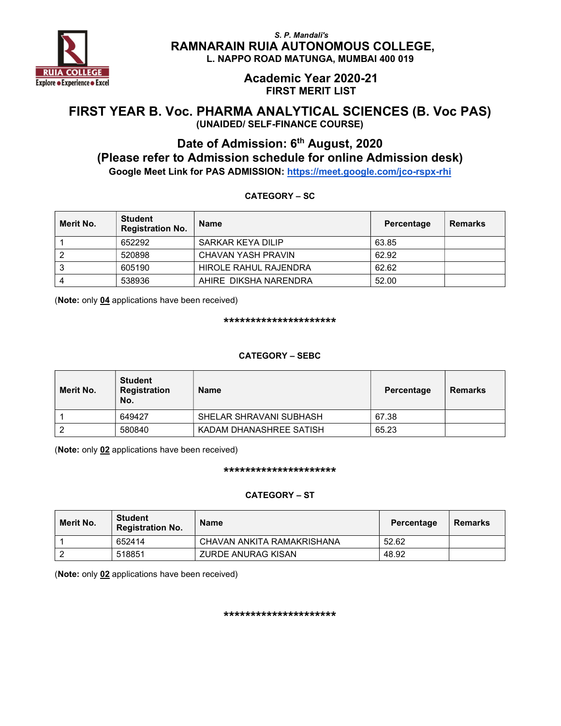

#### Academic Year 2020-21 FIRST MERIT LIST

### FIRST YEAR B. Voc. PHARMA ANALYTICAL SCIENCES (B. Voc PAS) (UNAIDED/ SELF-FINANCE COURSE)

# Date of Admission: 6<sup>th</sup> August, 2020 (Please refer to Admission schedule for online Admission desk)

Google Meet Link for PAS ADMISSION: https://meet.google.com/jco-rspx-rhi

CATEGORY – SC

### Merit No. Student Student<br>Registration No. Name Percentage Remarks 1 652292 SARKAR KEYA DILIP 63.85 2 520898 CHAVAN YASH PRAVIN 62.92 3 605190 HIROLE RAHUL RAJENDRA 62.62 4 538936 AHIRE DIKSHA NARENDRA 52.00

(Note: only 04 applications have been received)

\*\*\*\*\*\*\*\*\*\*\*\*\*\*\*\*\*\*\*\*\*

#### CATEGORY – SEBC

| Merit No. | <b>Student</b><br>Registration<br>No. | <b>Name</b>             | Percentage | <b>Remarks</b> |
|-----------|---------------------------------------|-------------------------|------------|----------------|
|           | 649427                                | SHELAR SHRAVANI SUBHASH | 67.38      |                |
|           | 580840                                | KADAM DHANASHREE SATISH | 65.23      |                |

(Note: only 02 applications have been received)

#### \*\*\*\*\*\*\*\*\*\*\*\*\*\*\*\*\*\*\*\*\*

#### CATEGORY – ST

| Merit No. | <b>Student</b><br><b>Registration No.</b> | <b>Name</b>                | Percentage | Remarks |
|-----------|-------------------------------------------|----------------------------|------------|---------|
|           | 652414                                    | CHAVAN ANKITA RAMAKRISHANA | 52.62      |         |
|           | 518851                                    | ZURDE ANURAG KISAN         | 48.92      |         |

(Note: only 02 applications have been received)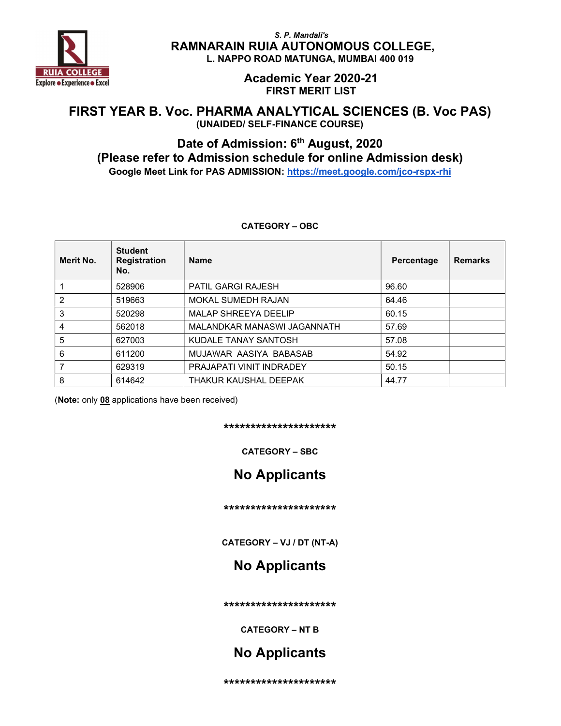

> Academic Year 2020-21 FIRST MERIT LIST

### FIRST YEAR B. Voc. PHARMA ANALYTICAL SCIENCES (B. Voc PAS) (UNAIDED/ SELF-FINANCE COURSE)

## Date of Admission: 6<sup>th</sup> August, 2020 (Please refer to Admission schedule for online Admission desk) Google Meet Link for PAS ADMISSION: https://meet.google.com/jco-rspx-rhi

| Merit No.      | <b>Student</b><br><b>Registration</b><br>No. | <b>Name</b>                 | Percentage | <b>Remarks</b> |
|----------------|----------------------------------------------|-----------------------------|------------|----------------|
|                | 528906                                       | <b>PATIL GARGI RAJESH</b>   | 96.60      |                |
| $\mathfrak{p}$ | 519663                                       | <b>MOKAL SUMEDH RAJAN</b>   | 64.46      |                |
| 3              | 520298                                       | <b>MALAP SHREEYA DEELIP</b> | 60.15      |                |
| 4              | 562018                                       | MALANDKAR MANASWI JAGANNATH | 57.69      |                |
| 5              | 627003                                       | KUDALE TANAY SANTOSH        | 57.08      |                |
| 6              | 611200                                       | MUJAWAR AASIYA BABASAB      | 54.92      |                |
|                | 629319                                       | PRAJAPATI VINIT INDRADEY    | 50.15      |                |
| 8              | 614642                                       | THAKUR KAUSHAL DEEPAK       | 44.77      |                |

#### CATEGORY – OBC

(Note: only 08 applications have been received)

#### \*\*\*\*\*\*\*\*\*\*\*\*\*\*\*\*\*\*\*\*\*

CATEGORY – SBC

## No Applicants

\*\*\*\*\*\*\*\*\*\*\*\*\*\*\*\*\*\*\*\*\*

CATEGORY – VJ / DT (NT-A)

## No Applicants

\*\*\*\*\*\*\*\*\*\*\*\*\*\*\*\*\*\*\*\*\*

CATEGORY – NT B

## No Applicants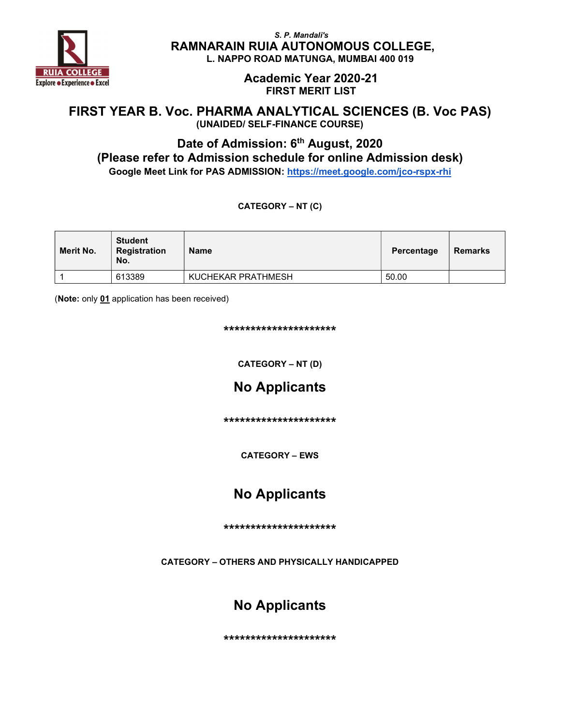

> Academic Year 2020-21 FIRST MERIT LIST

### FIRST YEAR B. Voc. PHARMA ANALYTICAL SCIENCES (B. Voc PAS) (UNAIDED/ SELF-FINANCE COURSE)

## Date of Admission: 6<sup>th</sup> August, 2020 (Please refer to Admission schedule for online Admission desk) Google Meet Link for PAS ADMISSION: https://meet.google.com/jco-rspx-rhi

CATEGORY – NT (C)

| Merit No. | <b>Student</b><br><b>Registration</b><br>No. | <b>Name</b>        | Percentage | <b>Remarks</b> |
|-----------|----------------------------------------------|--------------------|------------|----------------|
|           | 613389                                       | KUCHEKAR PRATHMESH | 50.00      |                |

(Note: only 01 application has been received)

\*\*\*\*\*\*\*\*\*\*\*\*\*\*\*\*\*\*\*\*\*

CATEGORY – NT (D)

# No Applicants

\*\*\*\*\*\*\*\*\*\*\*\*\*\*\*\*\*\*\*\*\*

CATEGORY – EWS

## No Applicants

\*\*\*\*\*\*\*\*\*\*\*\*\*\*\*\*\*\*\*\*\*

CATEGORY – OTHERS AND PHYSICALLY HANDICAPPED

## No Applicants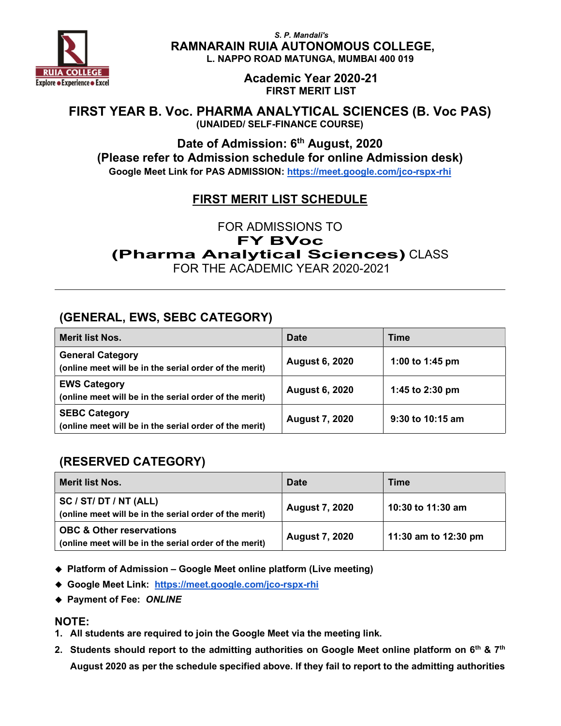

> Academic Year 2020-21 FIRST MERIT LIST

### FIRST YEAR B. Voc. PHARMA ANALYTICAL SCIENCES (B. Voc PAS) (UNAIDED/ SELF-FINANCE COURSE)

Date of Admission: 6<sup>th</sup> August, 2020 (Please refer to Admission schedule for online Admission desk) Google Meet Link for PAS ADMISSION: https://meet.google.com/jco-rspx-rhi

## FIRST MERIT LIST SCHEDULE

FOR ADMISSIONS TO FY BVoc (Pharma Analytical Sciences) CLASS FOR THE ACADEMIC YEAR 2020-2021

## (GENERAL, EWS, SEBC CATEGORY)

| <b>Merit list Nos.</b>                                                            | <b>Date</b>           | Time             |
|-----------------------------------------------------------------------------------|-----------------------|------------------|
| <b>General Category</b><br>(online meet will be in the serial order of the merit) | <b>August 6, 2020</b> | 1:00 to 1:45 pm  |
| <b>EWS Category</b><br>(online meet will be in the serial order of the merit)     | <b>August 6, 2020</b> | 1:45 to 2:30 pm  |
| <b>SEBC Category</b><br>(online meet will be in the serial order of the merit)    | <b>August 7, 2020</b> | 9:30 to 10:15 am |

## (RESERVED CATEGORY)

| <b>Merit list Nos.</b>                                                                        | Date                  | <b>Time</b>          |
|-----------------------------------------------------------------------------------------------|-----------------------|----------------------|
| <b>SC / ST/ DT / NT (ALL)</b><br>(online meet will be in the serial order of the merit)       | <b>August 7, 2020</b> | 10:30 to 11:30 am    |
| <b>OBC &amp; Other reservations</b><br>(online meet will be in the serial order of the merit) | <b>August 7, 2020</b> | 11:30 am to 12:30 pm |

- Platform of Admission Google Meet online platform (Live meeting)
- Google Meet Link: https://meet.google.com/jco-rspx-rhi
- ◆ Payment of Fee: ONLINE

### NOTE:

- 1. All students are required to join the Google Meet via the meeting link.
- 2. Students should report to the admitting authorities on Google Meet online platform on  $6<sup>th</sup>$  &  $7<sup>th</sup>$ August 2020 as per the schedule specified above. If they fail to report to the admitting authorities